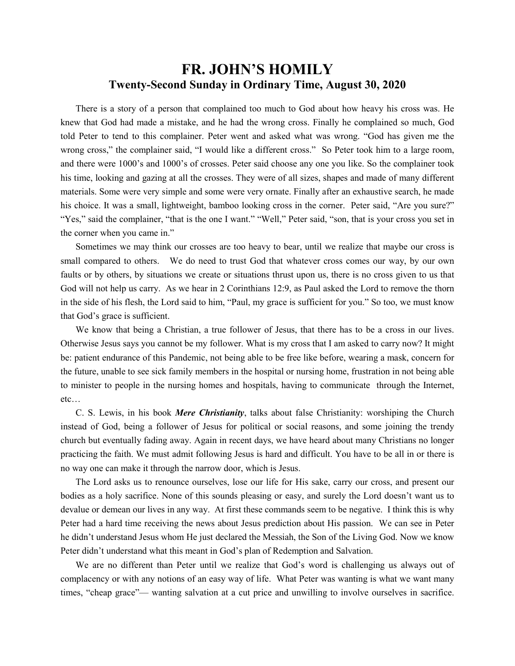## **FR. JOHN'S HOMILY Twenty-Second Sunday in Ordinary Time, August 30, 2020**

 There is a story of a person that complained too much to God about how heavy his cross was. He knew that God had made a mistake, and he had the wrong cross. Finally he complained so much, God told Peter to tend to this complainer. Peter went and asked what was wrong. "God has given me the wrong cross," the complainer said, "I would like a different cross." So Peter took him to a large room, and there were 1000's and 1000's of crosses. Peter said choose any one you like. So the complainer took his time, looking and gazing at all the crosses. They were of all sizes, shapes and made of many different materials. Some were very simple and some were very ornate. Finally after an exhaustive search, he made his choice. It was a small, lightweight, bamboo looking cross in the corner. Peter said, "Are you sure?" "Yes," said the complainer, "that is the one I want." "Well," Peter said, "son, that is your cross you set in the corner when you came in."

 Sometimes we may think our crosses are too heavy to bear, until we realize that maybe our cross is small compared to others. We do need to trust God that whatever cross comes our way, by our own faults or by others, by situations we create or situations thrust upon us, there is no cross given to us that God will not help us carry. As we hear in 2 Corinthians 12:9, as Paul asked the Lord to remove the thorn in the side of his flesh, the Lord said to him, "Paul, my grace is sufficient for you." So too, we must know that God's grace is sufficient.

 We know that being a Christian, a true follower of Jesus, that there has to be a cross in our lives. Otherwise Jesus says you cannot be my follower. What is my cross that I am asked to carry now? It might be: patient endurance of this Pandemic, not being able to be free like before, wearing a mask, concern for the future, unable to see sick family members in the hospital or nursing home, frustration in not being able to minister to people in the nursing homes and hospitals, having to communicate through the Internet, etc…

 C. S. Lewis, in his book *Mere Christianity*, talks about false Christianity: worshiping the Church instead of God, being a follower of Jesus for political or social reasons, and some joining the trendy church but eventually fading away. Again in recent days, we have heard about many Christians no longer practicing the faith. We must admit following Jesus is hard and difficult. You have to be all in or there is no way one can make it through the narrow door, which is Jesus.

 The Lord asks us to renounce ourselves, lose our life for His sake, carry our cross, and present our bodies as a holy sacrifice. None of this sounds pleasing or easy, and surely the Lord doesn't want us to devalue or demean our lives in any way. At first these commands seem to be negative. I think this is why Peter had a hard time receiving the news about Jesus prediction about His passion. We can see in Peter he didn't understand Jesus whom He just declared the Messiah, the Son of the Living God. Now we know Peter didn't understand what this meant in God's plan of Redemption and Salvation.

 We are no different than Peter until we realize that God's word is challenging us always out of complacency or with any notions of an easy way of life. What Peter was wanting is what we want many times, "cheap grace"— wanting salvation at a cut price and unwilling to involve ourselves in sacrifice.